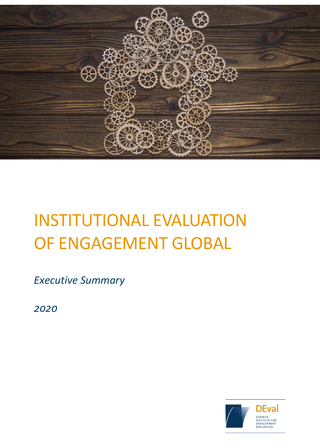

# INSTITUTIONAL EVALUATION OF ENGAGEMENT GLOBAL

*Executive Summary*

*2020*

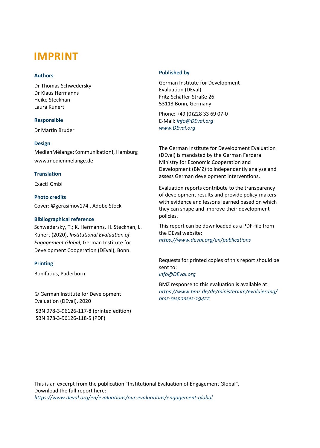# **IMPRINT**

# **Authors**

Dr Thomas Schwedersky Dr Klaus Hermanns Heike Steckhan Laura Kunert

# **Responsible**

Dr Martin Bruder

# **Design**

MedienMélange:Kommunikation!, Hamburg www.medienmelange.de

# **Translation**

Exact! GmbH

# **Photo credits**

Cover: ©gerasimov174 , Adobe Stock

# **Bibliographical reference**

Schwedersky, T.; K. Hermanns, H. Steckhan, L. Kunert (2020), *Institutional Evaluation of Engagement Global*, German Institute for Development Cooperation (DEval), Bonn.

# **Printing**

Bonifatius, Paderborn

© German Institute for Development Evaluation (DEval), 2020

ISBN 978-3-96126-117-8 (printed edition) ISBN 978-3-96126-118-5 (PDF)

# **Published by**

German Institute for Development Evaluation (DEval) Fritz-Schäffer-Straße 26 53113 Bonn, Germany

Phone: +49 (0)228 33 69 07-0 E-Mail: *[info@DEval.org](mailto:info@DEval.org) [www.DEval.org](http://www.deval.org/)*

The German Institute for Development Evaluation (DEval) is mandated by the German Ferderal Ministry for Economic Cooperation and Development (BMZ) to independently analyse and assess German development interventions.

Evaluation reports contribute to the transparency of development results and provide policy-makers with evidence and lessons learned based on which they can shape and improve their development policies.

This report can be downloaded as a PDF-file from the DEval website: *https://www.deval.org/en/publications* 

Requests for printed copies of this report should be sent to: *[info@DEval.org](mailto:info@DEval.org)*

BMZ response to this evaluation is available at: *https://www.bmz.de/de/ministerium/evaluierung/ bmz-responses-19422* 

This is an excerpt from the publication "Institutional Evaluation of Engagement Global". Download the full report here: *<https://www.deval.org/en/evaluations/our-evaluations/engagement-global>*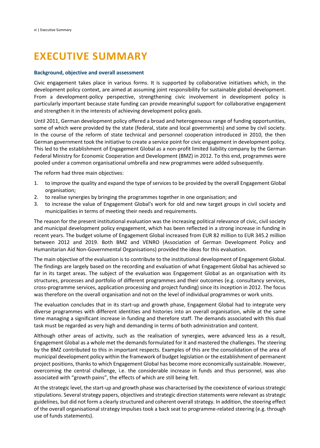# **EXECUTIVE SUMMARY**

#### **Background, objective and overall assessment**

Civic engagement takes place in various forms. It is supported by collaborative initiatives which, in the development policy context, are aimed at assuming joint responsibility for sustainable global development. From a development-policy perspective, strengthening civic involvement in development policy is particularly important because state funding can provide meaningful support for collaborative engagement and strengthen it in the interests of achieving development policy goals.

Until 2011, German development policy offered a broad and heterogeneous range of funding opportunities, some of which were provided by the state (federal, state and local governments) and some by civil society. In the course of the reform of state technical and personnel cooperation introduced in 2010, the then German government took the initiative to create a service point for civic engagement in development policy. This led to the establishment of Engagement Global as a non-profit limited liability company by the German Federal Ministry for Economic Cooperation and Development (BMZ) in 2012. To this end, programmes were pooled under a common organisational umbrella and new programmes were added subsequently.

The reform had three main objectives:

- 1. to improve the quality and expand the type of services to be provided by the overall Engagement Global organisation;
- 2. to realise synergies by bringing the programmes together in one organisation; and
- 3. to increase the value of Engagement Global's work for old and new target groups in civil society and municipalities in terms of meeting their needs and requirements.

The reason for the present institutional evaluation was the increasing political relevance of civic, civil society and municipal development policy engagement, which has been reflected in a strong increase in funding in recent years. The budget volume of Engagement Global increased from EUR 82 million to EUR 345.2 million between 2012 and 2019. Both BMZ and VENRO (Association of German Development Policy and Humanitarian Aid Non-Governmental Organisations) provided the ideas for this evaluation.

The main objective of the evaluation is to contribute to the institutional development of Engagement Global. The findings are largely based on the recording and evaluation of what Engagement Global has achieved so far in its target areas. The subject of the evaluation was Engagement Global as an organisation with its structures, processes and portfolio of different programmes and their outcomes (e.g. consultancy services, cross-programme services, application processing and project funding) since its inception in 2012. The focus was therefore on the overall organisation and not on the level of individual programmes or work units.

The evaluation concludes that in its start-up and growth phase, Engagement Global had to integrate very diverse programmes with different identities and histories into an overall organisation, while at the same time managing a significant increase in funding and therefore staff. The demands associated with this dual task must be regarded as very high and demanding in terms of both administration and content.

Although other areas of activity, such as the realisation of synergies, were advanced less as a result, Engagement Global as a whole met the demands formulated for it and mastered the challenges. The steering by the BMZ contributed to this in important respects. Examples of this are the consolidation of the area of municipal development policy within the framework of budget legislation or the establishment of permanent project positions, thanks to which Engagement Global has become more economically sustainable. However, overcoming the central challenge, i.e. the considerable increase in funds and thus personnel, was also associated with "growth pains", the effects of which are still being felt.

At the strategic level, the start-up and growth phase was characterised by the coexistence of various strategic stipulations. Several strategy papers, objectives and strategic direction statements were relevant as strategic guidelines, but did not form a clearly structured and coherent overall strategy. In addition, the steering effect of the overall organisational strategy impulses took a back seat to programme-related steering (e.g. through use of funds statements).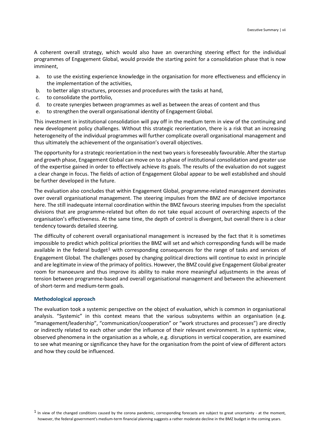A coherent overall strategy, which would also have an overarching steering effect for the individual programmes of Engagement Global, would provide the starting point for a consolidation phase that is now imminent,

- a. to use the existing experience knowledge in the organisation for more effectiveness and efficiency in the implementation of the activities,
- b. to better align structures, processes and procedures with the tasks at hand,
- c. to consolidate the portfolio,
- d. to create synergies between programmes as well as between the areas of content and thus
- e. to strengthen the overall organisational identity of Engagement Global.

This investment in institutional consolidation will pay off in the medium term in view of the continuing and new development policy challenges. Without this strategic reorientation, there is a risk that an increasing heterogeneity of the individual programmes will further complicate overall organisational management and thus ultimately the achievement of the organisation's overall objectives.

The opportunity for a strategic reorientation in the next two years is foreseeably favourable. After the startup and growth phase, Engagement Global can move on to a phase of institutional consolidation and greater use of the expertise gained in order to effectively achieve its goals. The results of the evaluation do not suggest a clear change in focus. The fields of action of Engagement Global appear to be well established and should be further developed in the future.

The evaluation also concludes that within Engagement Global, programme-related management dominates over overall organisational management. The steering impulses from the BMZ are of decisive importance here. The still inadequate internal coordination within the BMZ favours steering impulses from the specialist divisions that are programme-related but often do not take equal account of overarching aspects of the organisation's effectiveness. At the same time, the depth of control is divergent, but overall there is a clear tendency towards detailed steering.

The difficulty of coherent overall organisational management is increased by the fact that it is sometimes impossible to predict which political priorities the BMZ will set and which corresponding funds will be made available in the federal budget<sup>[1](#page-3-0)</sup> with corresponding consequences for the range of tasks and services of Engagement Global. The challenges posed by changing political directions will continue to exist in principle and are legitimate in view of the primacy of politics. However, the BMZ could give Engagement Global greater room for manoeuvre and thus improve its ability to make more meaningful adjustments in the areas of tension between programme-based and overall organisational management and between the achievement of short-term and medium-term goals.

#### **Methodological approach**

The evaluation took a systemic perspective on the object of evaluation, which is common in organisational analysis. "Systemic" in this context means that the various subsystems within an organisation (e.g. "management/leadership", "communication/cooperation" or "work structures and processes") are directly or indirectly related to each other under the influence of their relevant environment. In a systemic view, observed phenomena in the organisation as a whole, e.g. disruptions in vertical cooperation, are examined to see what meaning or significance they have for the organisation from the point of view of different actors and how they could be influenced.

<span id="page-3-0"></span> $1$  In view of the changed conditions caused by the corona pandemic, corresponding forecasts are subject to great uncertainty - at the moment, however, the federal government's medium-term financial planning suggests a rather moderate decline in the BMZ budget in the coming years.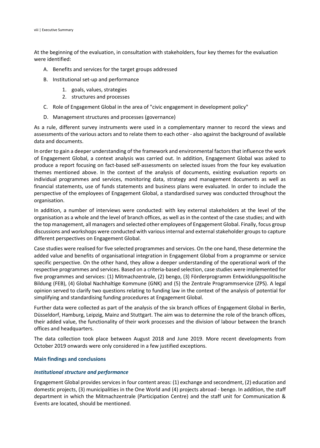At the beginning of the evaluation, in consultation with stakeholders, four key themes for the evaluation were identified:

- A. Benefits and services for the target groups addressed
- B. Institutional set-up and performance
	- 1. goals, values, strategies
	- 2. structures and processes
- C. Role of Engagement Global in the area of "civic engagement in development policy"
- D. Management structures and processes (governance)

As a rule, different survey instruments were used in a complementary manner to record the views and assessments of the various actors and to relate them to each other - also against the background of available data and documents.

In order to gain a deeper understanding of the framework and environmental factors that influence the work of Engagement Global, a context analysis was carried out. In addition, Engagement Global was asked to produce a report focusing on fact-based self-assessments on selected issues from the four key evaluation themes mentioned above. In the context of the analysis of documents, existing evaluation reports on individual programmes and services, monitoring data, strategy and management documents as well as financial statements, use of funds statements and business plans were evaluated. In order to include the perspective of the employees of Engagement Global, a standardised survey was conducted throughout the organisation.

In addition, a number of interviews were conducted: with key external stakeholders at the level of the organisation as a whole and the level of branch offices, as well as in the context of the case studies; and with the top management, all managers and selected other employees of Engagement Global. Finally, focus group discussions and workshops were conducted with various internal and external stakeholder groups to capture different perspectives on Engagement Global.

Case studies were realised for five selected programmes and services. On the one hand, these determine the added value and benefits of organisational integration in Engagement Global from a programme or service specific perspective. On the other hand, they allow a deeper understanding of the operational work of the respective programmes and services. Based on a criteria-based selection, case studies were implemented for five programmes and services: (1) Mitmachzentrale, (2) bengo, (3) Förderprogramm Entwicklungspolitische Bildung (FEB), (4) Global Nachhaltige Kommune (GNK) and (5) the Zentrale Programmservice (ZPS). A legal opinion served to clarify two questions relating to funding law in the context of the analysis of potential for simplifying and standardising funding procedures at Engagement Global.

Further data were collected as part of the analysis of the six branch offices of Engagement Global in Berlin, Düsseldorf, Hamburg, Leipzig, Mainz and Stuttgart. The aim was to determine the role of the branch offices, their added value, the functionality of their work processes and the division of labour between the branch offices and headquarters.

The data collection took place between August 2018 and June 2019. More recent developments from October 2019 onwards were only considered in a few justified exceptions.

# **Main findings and conclusions**

# *Institutional structure and performance*

Engagement Global provides services in four content areas: (1) exchange and secondment, (2) education and domestic projects, (3) municipalities in the One World and (4) projects abroad - bengo. In addition, the staff department in which the Mitmachzentrale (Participation Centre) and the staff unit for Communication & Events are located, should be mentioned.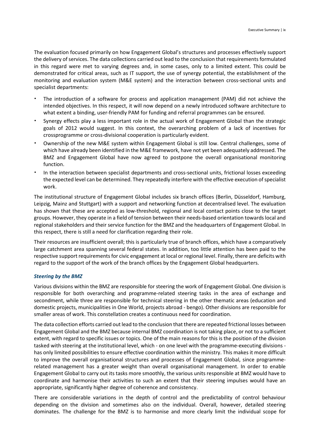The evaluation focused primarily on how Engagement Global's structures and processes effectively support the delivery of services. The data collections carried out lead to the conclusion that requirements formulated in this regard were met to varying degrees and, in some cases, only to a limited extent. This could be demonstrated for critical areas, such as IT support, the use of synergy potential, the establishment of the monitoring and evaluation system (M&E system) and the interaction between cross-sectional units and specialist departments:

- The introduction of a software for process and application management (PAM) did not achieve the intended objectives. In this respect, it will now depend on a newly introduced software architecture to what extent a binding, user-friendly PAM for funding and referral programmes can be ensured.
- Synergy effects play a less important role in the actual work of Engagement Global than the strategic goals of 2012 would suggest. In this context, the overarching problem of a lack of incentives for crossprogramme or cross-divisional cooperation is particularly evident.
- Ownership of the new M&E system within Engagement Global is still low. Central challenges, some of which have already been identified in the M&E framework, have not yet been adequately addressed. The BMZ and Engagement Global have now agreed to postpone the overall organisational monitoring function.
- In the interaction between specialist departments and cross-sectional units, frictional losses exceeding the expected level can be determined. They repeatedly interfere with the effective execution of specialist work.

The institutional structure of Engagement Global includes six branch offices (Berlin, Düsseldorf, Hamburg, Leipzig, Mainz and Stuttgart) with a support and networking function at decentralised level. The evaluation has shown that these are accepted as low-threshold, regional and local contact points close to the target groups. However, they operate in a field of tension between their needs-based orientation towards local and regional stakeholders and their service function for the BMZ and the headquarters of Engagement Global. In this respect, there is still a need for clarification regarding their role.

Their resources are insufficient overall; this is particularly true of branch offices, which have a comparatively large catchment area spanning several federal states. In addition, too little attention has been paid to the respective support requirements for civic engagement at local or regional level. Finally, there are deficits with regard to the support of the work of the branch offices by the Engagement Global headquarters.

# *Steering by the BMZ*

Various divisions within the BMZ are responsible for steering the work of Engagement Global. One division is responsible for both overarching and programme-related steering tasks in the area of exchange and secondment, while three are responsible for technical steering in the other thematic areas (education and domestic projects, municipalities in One World, projects abroad - bengo). Other divisions are responsible for smaller areas of work. This constellation creates a continuous need for coordination.

The data collection efforts carried out lead to the conclusion that there are repeated frictional losses between Engagement Global and the BMZ because internal BMZ coordination is not taking place, or not to a sufficient extent, with regard to specific issues or topics. One of the main reasons for this is the position of the division tasked with steering at the institutional level, which - on one level with the programme-executing divisions has only limited possibilities to ensure effective coordination within the ministry. This makes it more difficult to improve the overall organisational structures and processes of Engagement Global, since programmerelated management has a greater weight than overall organisational management. In order to enable Engagement Global to carry out its tasks more smoothly, the various units responsible at BMZ would have to coordinate and harmonise their activities to such an extent that their steering impulses would have an appropriate, significantly higher degree of coherence and consistency.

There are considerable variations in the depth of control and the predictability of control behaviour depending on the division and sometimes also on the individual. Overall, however, detailed steering dominates. The challenge for the BMZ is to harmonise and more clearly limit the individual scope for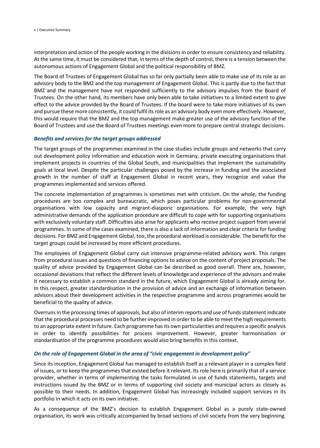interpretation and action of the people working in the divisions in order to ensure consistency and reliability. At the same time, it must be considered that, in terms of the depth of control, there is a tension between the autonomous actions of Engagement Global and the political responsibility of BMZ.

The Board of Trustees of Engagement Global has so far only partially been able to make use of its role as an advisory body to the BMZ and the top management of Engagement Global. This is partly due to the fact that BMZ and the management have not responded sufficiently to the advisory impulses from the Board of Trustees. On the other hand, its members have only been able to take initiatives to a limited extent to give effect to the advice provided by the Board of Trustees. If the board were to take more initiatives of its own and pursue these more consistently, it could fulfil its role as an advisory body even more effectively. However, this would require that the BMZ and the top management make greater use of the advisory function of the Board of Trustees and use the Board of Trustees meetings even more to prepare central strategic decisions.

### *Benefits and services for the target groups addressed*

The target groups of the programmes examined in the case studies include groups and networks that carry out development policy information and education work in Germany, private executing organisations that implement projects in countries of the Global South, and municipalities that implement the sustainability goals at local level. Despite the particular challenges posed by the increase in funding and the associated growth in the number of staff at Engagement Global in recent years, they recognise and value the programmes implemented and services offered.

The concrete implementation of programmes is sometimes met with criticism. On the whole, the funding procedures are too complex and bureaucratic, which poses particular problems for non-governmental organisations with low capacity and migrant-diasporic organisations. For example, the very high administrative demands of the application procedure are difficult to cope with for supporting organisations with exclusively voluntary staff. Difficulties also arise for applicants who receive project support from several programmes. In some of the cases examined, there is also a lack of information and clear criteria for funding decisions. For BMZ and Engagement Global, too, the procedural workload is considerable. The benefit for the target groups could be increased by more efficient procedures.

The employees of Engagement Global carry out intensive programme-related advisory work. This ranges from procedural issues and questions of financing options to advice on the content of project proposals. The quality of advice provided by Engagement Global can be described as good overall. There are, however, occasional deviations that reflect the different levels of knowledge and experience of the advisors and make it necessary to establish a common standard in the future, which Engagement Global is already aiming for. In this respect, greater standardisation in the provision of advice and an exchange of information between advisors about their development activities in the respective programme and across programmes would be beneficial to the quality of advice.

Overruns in the processing times of approvals, but also of interim reports and use of funds statement indicate that the procedural processes need to be further improved in order to be able to meet the high requirements to an appropriate extent in future. Each programme has its own particularities and requires a specific analysis in order to identify possibilities for process improvement. However, greater harmonisation or standardisation of the programme procedures would also bring benefits in this context.

# *On the role of Engagement Global in the area of "civic engagement in development policy"*

Since its inception, Engagement Global has managed to establish itself as a relevant player in a complex field of issues, or to keep the programmes that existed before it relevant. Its role here is primarily that of a service provider, whether in terms of implementing the tasks formulated in use of funds statements, targets and instructions issued by the BMZ or in terms of supporting civil society and municipal actors as closely as possible to their needs. In addition, Engagement Global has increasingly included support services in its portfolio in which it acts on its own initiative.

As a consequence of the BMZ's decision to establish Engagement Global as a purely state-owned organisation, its work was critically accompanied by broad sections of civil society from the very beginning.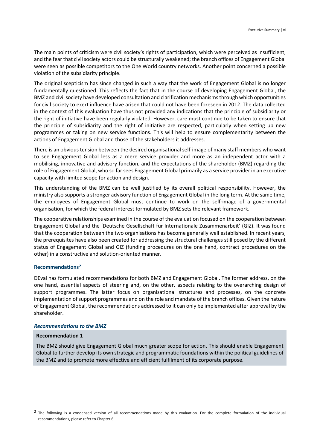The main points of criticism were civil society's rights of participation, which were perceived as insufficient, and the fear that civil society actors could be structurally weakened; the branch offices of Engagement Global were seen as possible competitors to the One World country networks. Another point concerned a possible violation of the subsidiarity principle.

The original scepticism has since changed in such a way that the work of Engagement Global is no longer fundamentally questioned. This reflects the fact that in the course of developing Engagement Global, the BMZ and civil society have developed consultation and clarification mechanisms through which opportunities for civil society to exert influence have arisen that could not have been foreseen in 2012. The data collected in the context of this evaluation have thus not provided any indications that the principle of subsidiarity or the right of initiative have been regularly violated. However, care must continue to be taken to ensure that the principle of subsidiarity and the right of initiative are respected, particularly when setting up new programmes or taking on new service functions. This will help to ensure complementarity between the actions of Engagement Global and those of the stakeholders it addresses.

There is an obvious tension between the desired organisational self-image of many staff members who want to see Engagement Global less as a mere service provider and more as an independent actor with a mobilising, innovative and advisory function, and the expectations of the shareholder (BMZ) regarding the role of Engagement Global, who so far sees Engagement Global primarily as a service provider in an executive capacity with limited scope for action and design.

This understanding of the BMZ can be well justified by its overall political responsibility. However, the ministry also supports a stronger advisory function of Engagement Global in the long term. At the same time, the employees of Engagement Global must continue to work on the self-image of a governmental organisation, for which the federal interest formulated by BMZ sets the relevant framework.

The cooperative relationships examined in the course of the evaluation focused on the cooperation between Engagement Global and the 'Deutsche Gesellschaft für Internationale Zusammenarbeit' (GIZ). It was found that the cooperation between the two organisations has become generally well established. In recent years, the prerequisites have also been created for addressing the structural challenges still posed by the different status of Engagement Global and GIZ (funding procedures on the one hand, contract procedures on the other) in a constructive and solution-oriented manner.

#### **Recommendations[2](#page-7-0)**

DEval has formulated recommendations for both BMZ and Engagement Global. The former address, on the one hand, essential aspects of steering and, on the other, aspects relating to the overarching design of support programmes. The latter focus on organisational structures and processes, on the concrete implementation of support programmes and on the role and mandate of the branch offices. Given the nature of Engagement Global, the recommendations addressed to it can only be implemented after approval by the shareholder.

#### *Recommendations to the BMZ*

#### **Recommendation 1**

The BMZ should give Engagement Global much greater scope for action. This should enable Engagement Global to further develop its own strategic and programmatic foundations within the political guidelines of the BMZ and to promote more effective and efficient fulfilment of its corporate purpose.

<span id="page-7-0"></span><sup>&</sup>lt;sup>2</sup> The following is a condensed version of all recommendations made by this evaluation. For the complete formulation of the individual recommendations, please refer to Chapter 6.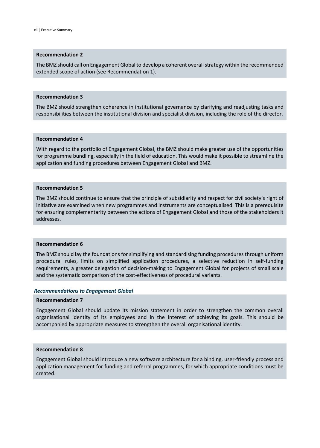## **Recommendation 2**

The BMZ should call on Engagement Global to develop a coherent overall strategy within the recommended extended scope of action (see Recommendation 1).

#### **Recommendation 3**

The BMZ should strengthen coherence in institutional governance by clarifying and readjusting tasks and responsibilities between the institutional division and specialist division, including the role of the director.

## **Recommendation 4**

With regard to the portfolio of Engagement Global, the BMZ should make greater use of the opportunities for programme bundling, especially in the field of education. This would make it possible to streamline the application and funding procedures between Engagement Global and BMZ.

#### **Recommendation 5**

The BMZ should continue to ensure that the principle of subsidiarity and respect for civil society's right of initiative are examined when new programmes and instruments are conceptualised. This is a prerequisite for ensuring complementarity between the actions of Engagement Global and those of the stakeholders it addresses.

#### **Recommendation 6**

The BMZ should lay the foundations for simplifying and standardising funding procedures through uniform procedural rules, limits on simplified application procedures, a selective reduction in self-funding requirements, a greater delegation of decision-making to Engagement Global for projects of small scale and the systematic comparison of the cost-effectiveness of procedural variants.

#### *Recommendations to Engagement Global*

#### **Recommendation 7**

Engagement Global should update its mission statement in order to strengthen the common overall organisational identity of its employees and in the interest of achieving its goals. This should be accompanied by appropriate measures to strengthen the overall organisational identity.

# **Recommendation 8**

Engagement Global should introduce a new software architecture for a binding, user-friendly process and application management for funding and referral programmes, for which appropriate conditions must be created.